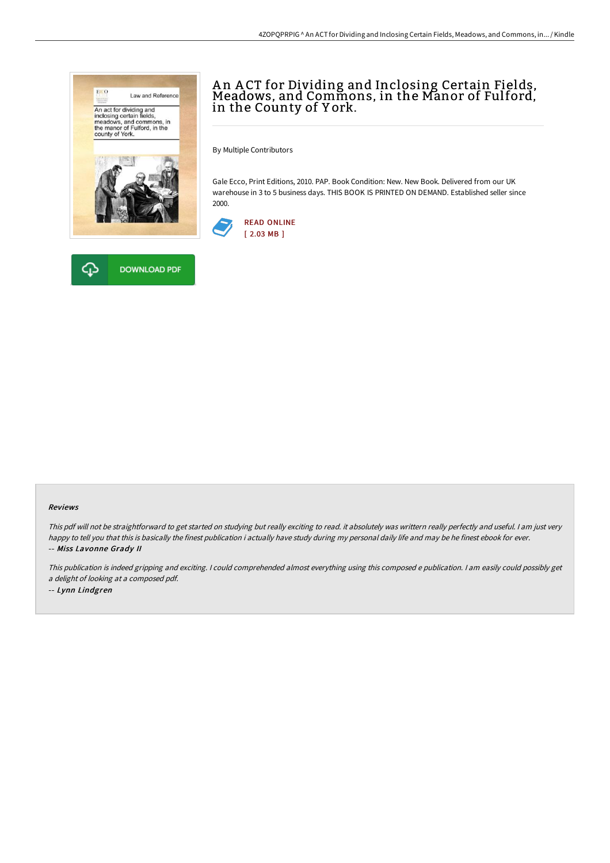



# An ACT for Dividing and Inclosing Certain Fields,<br>Meadows, and Commons, in the Manor of Fulford, in the County of Y ork.

By Multiple Contributors

Gale Ecco, Print Editions, 2010. PAP. Book Condition: New. New Book. Delivered from our UK warehouse in 3 to 5 business days. THIS BOOK IS PRINTED ON DEMAND. Established seller since 2000.



#### Reviews

This pdf will not be straightforward to get started on studying but really exciting to read. it absolutely was writtern really perfectly and useful. <sup>I</sup> am just very happy to tell you that this is basically the finest publication i actually have study during my personal daily life and may be he finest ebook for ever. -- Miss Lavonne Grady II

This publication is indeed gripping and exciting. I could comprehended almost everything using this composed <sup>e</sup> publication. I am easily could possibly get <sup>a</sup> delight of looking at <sup>a</sup> composed pdf.

-- Lynn Lindgren